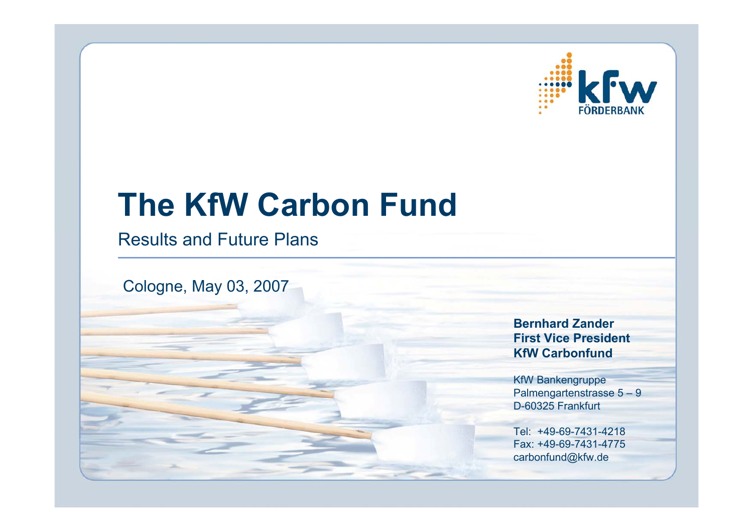

# **The KfW Carbon Fund**

### Results and Future Plans

Cologne, May 03, 2007

**Bernhard ZanderFirst Vice PresidentKfW Carbonfund**

KfW Bankengruppe Palmengartenstrasse 5 – 9 D-60325 Frankfurt

Tel: +49-69-7431-4218Fax: +49-69-7431-4775carbonfund@kfw.de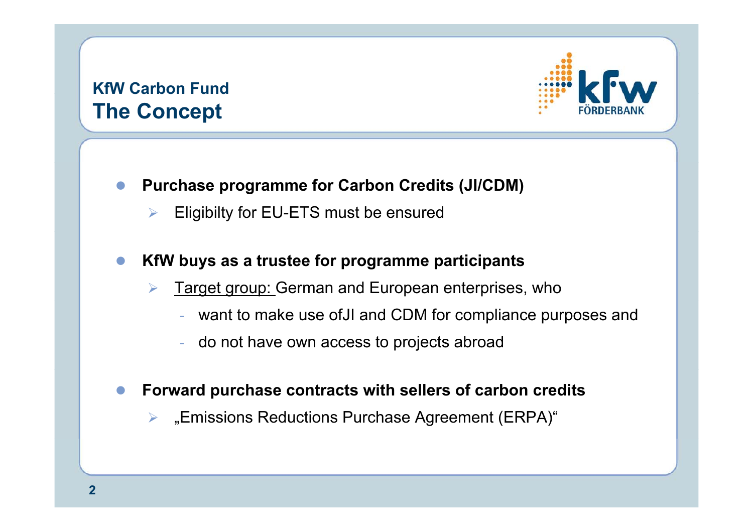### **KfW Carbon FundThe Concept**



 $\bullet$ **Purchase programme for Carbon Credits (JI/CDM)**

¾Eligibilty for EU-ETS must be ensured

#### $\bullet$ **KfW buys as a trustee for programme participants**

- ¾ Target group: German and European enterprises, who
	- want to make use ofJI and CDM for compliance purposes and
	- do not have own access to projects abroad

#### $\bullet$ **Forward purchase contracts with sellers of carbon credits**

¾ "Emissions Reductions Purchase Agreement (ERPA)"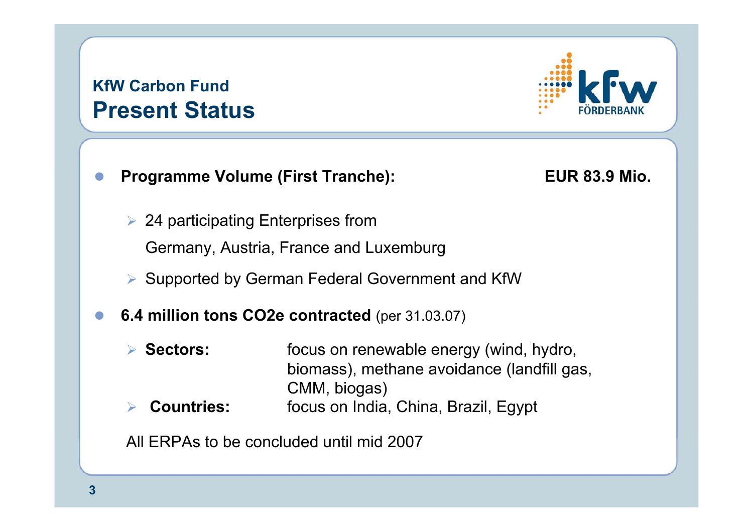### **KfW Carbon Fund Present Status**



#### $\bullet$ **Programme Volume (First Tranche): EUR 83.9 Mio.**

- $\triangleright$  24 participating Enterprises from Germany, Austria, France and Luxemburg
- ¾ Supported by German Federal Government and KfW
- $\bullet$  **6.4 million tons CO2e contracted** (per 31.03.07)
	- **▶ Sectors:** focus on renewable energy (wind, hydro, biomass), methane avoidance (landfill gas, CMM, biogas)
	- ¾**Countries:** focus on India, China, Brazil, Egypt

All ERPAs to be concluded until mid 2007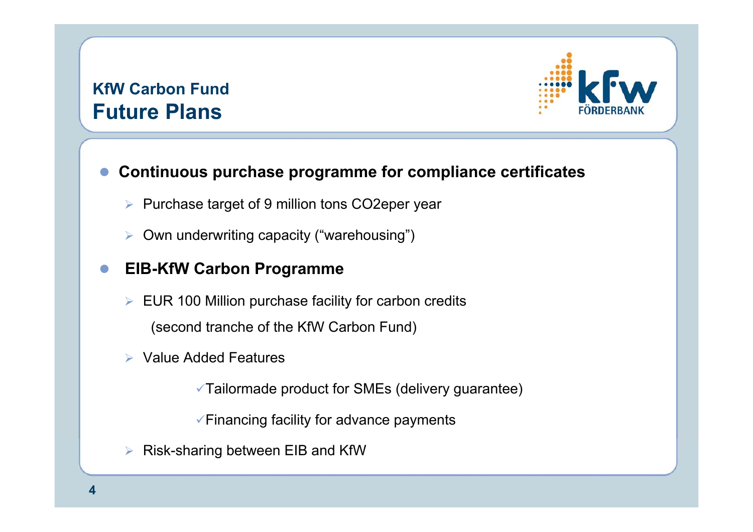### **KfW Carbon Fund Future Plans**



#### $\bullet$ **Continuous purchase programme for compliance certificates**

- ¾ Purchase target of 9 million tons CO2eper year
- ¾Own underwriting capacity ("warehousing")

#### $\bullet$ **EIB-KfW Carbon Programme**

- $\triangleright$  EUR 100 Million purchase facility for carbon credits (second tranche of the KfW Carbon Fund)
- ¾ Value Added Features

 $\sqrt{\ }$ Tailormade product for SMEs (delivery guarantee)

 $\checkmark$  Financing facility for advance payments

¾Risk-sharing between EIB and KfW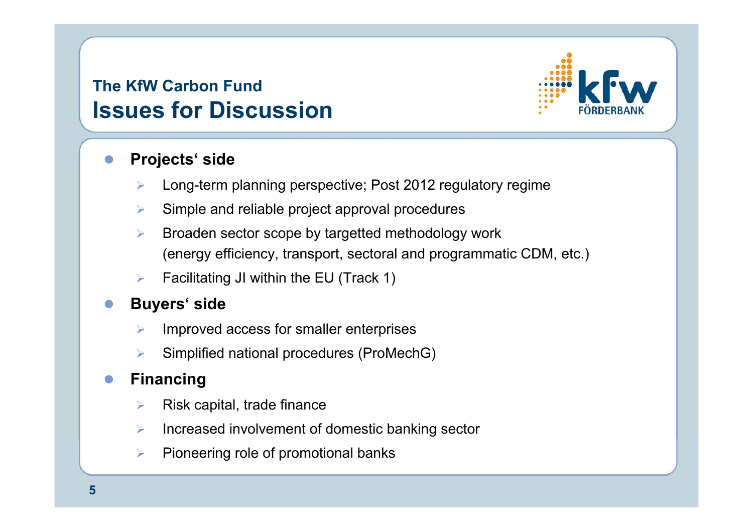### **The KfW Carbon FundIssues for Discussion**



#### $\bullet$ **Projects' side**

- $\blacktriangleright$ Long-term planning perspective; Post 2012 regulatory regime
- $\blacktriangleright$ Simple and reliable project approval procedures
- $\triangleright$  Broaden sector scope by targetted methodology work (energy efficiency, transport, sectoral and programmatic CDM, etc.)
- $\blacktriangleright$ Facilitating JI within the EU (Track 1)

#### $\bullet$ **Buyers' side**

- ¾Improved access for smaller enterprises
- $\blacktriangleright$ Simplified national procedures (ProMechG)

#### $\bullet$ **Financing**

- $\blacktriangleright$ Risk capital, trade finance
- $\triangleright$ Increased involvement of domestic banking sector
- $\blacktriangleright$ Pioneering role of promotional banks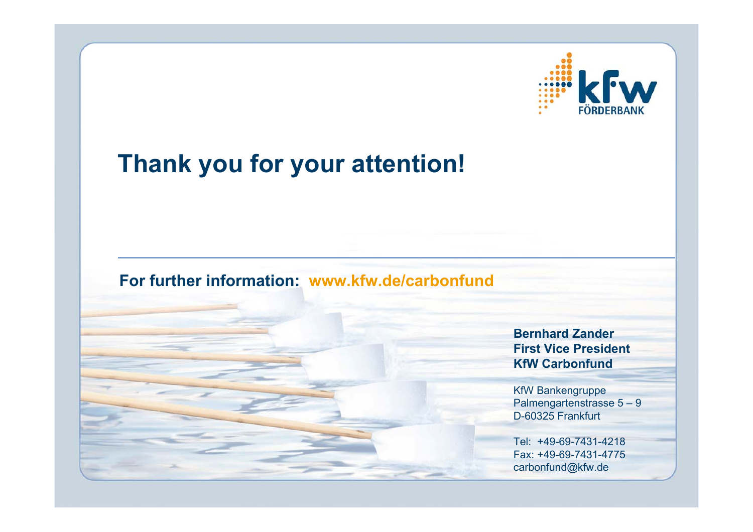

## **Thank you for your attention!**

### **For further information: www.kfw.de/carbonfund**

**Bernhard ZanderFirst Vice PresidentKfW Carbonfund**

KfW Bankengruppe Palmengartenstrasse 5 – 9 D-60325 Frankfurt

Tel: +49-69-7431-4218Fax: +49-69-7431-4775carbonfund@kfw.de